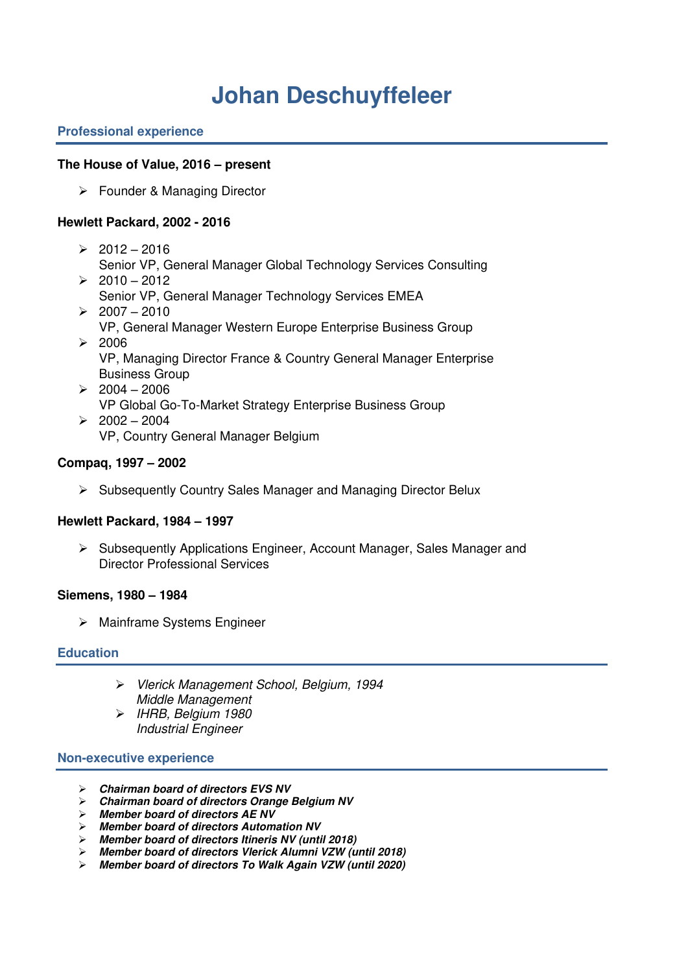# **Johan Deschuyffeleer**

## **Professional experience**

## **The House of Value, 2016 – present**

➢ Founder & Managing Director

## **Hewlett Packard, 2002 - 2016**

- $\geq 2012 2016$ 
	- Senior VP, General Manager Global Technology Services Consulting
- $> 2010 2012$ Senior VP, General Manager Technology Services EMEA
- $> 2007 2010$ VP, General Manager Western Europe Enterprise Business Group
- $\geq 2006$ VP, Managing Director France & Country General Manager Enterprise Business Group
- $\geq 2004 2006$ VP Global Go-To-Market Strategy Enterprise Business Group  $> 2002 - 2004$ 
	- VP, Country General Manager Belgium

## **Compaq, 1997 – 2002**

➢ Subsequently Country Sales Manager and Managing Director Belux

## **Hewlett Packard, 1984 – 1997**

➢ Subsequently Applications Engineer, Account Manager, Sales Manager and Director Professional Services

## **Siemens, 1980 – 1984**

➢ Mainframe Systems Engineer

## **Education**

- ➢ Vlerick Management School, Belgium, 1994 Middle Management
- ➢ IHRB, Belgium 1980 Industrial Engineer

## **Non-executive experience**

- ➢ **Chairman board of directors EVS NV**
- ➢ **Chairman board of directors Orange Belgium NV**
- ➢ **Member board of directors AE NV**
- ➢ **Member board of directors Automation NV**
- ➢ **Member board of directors Itineris NV (until 2018)**
- ➢ **Member board of directors Vlerick Alumni VZW (until 2018)**
- ➢ **Member board of directors To Walk Again VZW (until 2020)**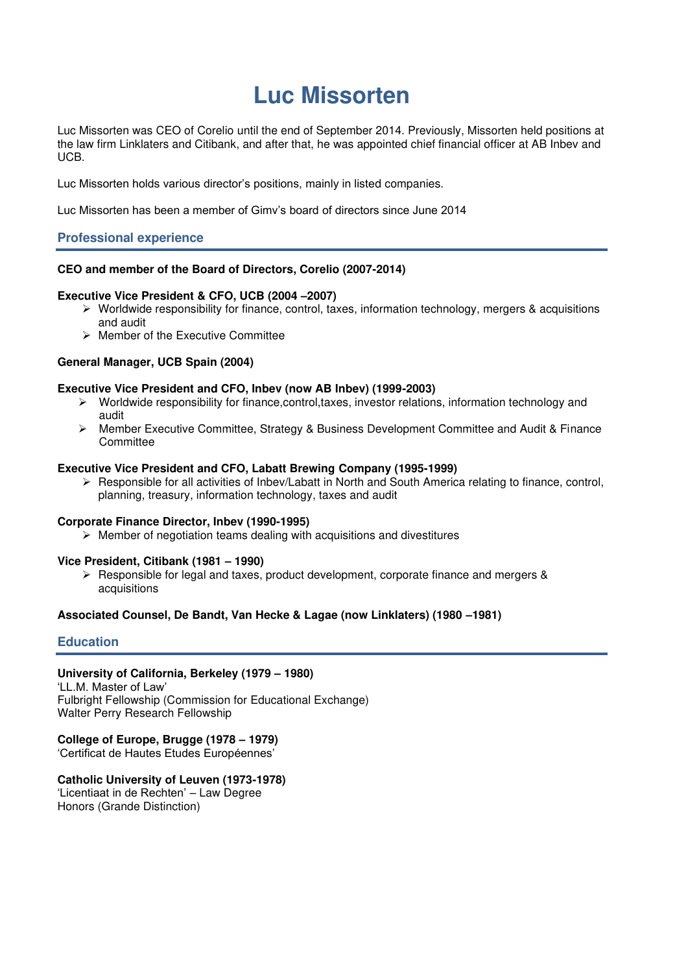## **Luc Missorten**

Luc Missorten was CEO of Corelio until the end of September 2014. Previously, Missorten held positions at the law firm Linklaters and Citibank, and after that, he was appointed chief financial officer at AB Inbev and UCB.

Luc Missorten holds various director's positions, mainly in listed companies.

Luc Missorten has been a member of Gimv's board of directors since June 2014

## **Professional experience**

#### **CEO and member of the Board of Directors, Corelio (2007-2014)**

#### **Executive Vice President & CFO, UCB (2004 –2007)**

- ➢ Worldwide responsibility for finance, control, taxes, information technology, mergers & acquisitions and audit
- ➢ Member of the Executive Committee

#### **General Manager, UCB Spain (2004)**

#### **Executive Vice President and CFO, Inbev (now AB Inbev) (1999-2003)**

- ➢ Worldwide responsibility for finance,control,taxes, investor relations, information technology and audit
- ➢ Member Executive Committee, Strategy & Business Development Committee and Audit & Finance **Committee**

#### **Executive Vice President and CFO, Labatt Brewing Company (1995-1999)**

 $\triangleright$  Responsible for all activities of Inbev/Labatt in North and South America relating to finance, control, planning, treasury, information technology, taxes and audit

#### **Corporate Finance Director, Inbev (1990-1995)**

 $\triangleright$  Member of negotiation teams dealing with acquisitions and divestitures

## **Vice President, Citibank (1981 – 1990)**

➢ Responsible for legal and taxes, product development, corporate finance and mergers & acquisitions

## **Associated Counsel, De Bandt, Van Hecke & Lagae (now Linklaters) (1980 –1981)**

## **Education**

#### **University of California, Berkeley (1979 – 1980)**

'LL.M. Master of Law' Fulbright Fellowship (Commission for Educational Exchange) Walter Perry Research Fellowship

#### **College of Europe, Brugge (1978 – 1979)**

'Certificat de Hautes Etudes Européennes'

## **Catholic University of Leuven (1973-1978)**

'Licentiaat in de Rechten' – Law Degree Honors (Grande Distinction)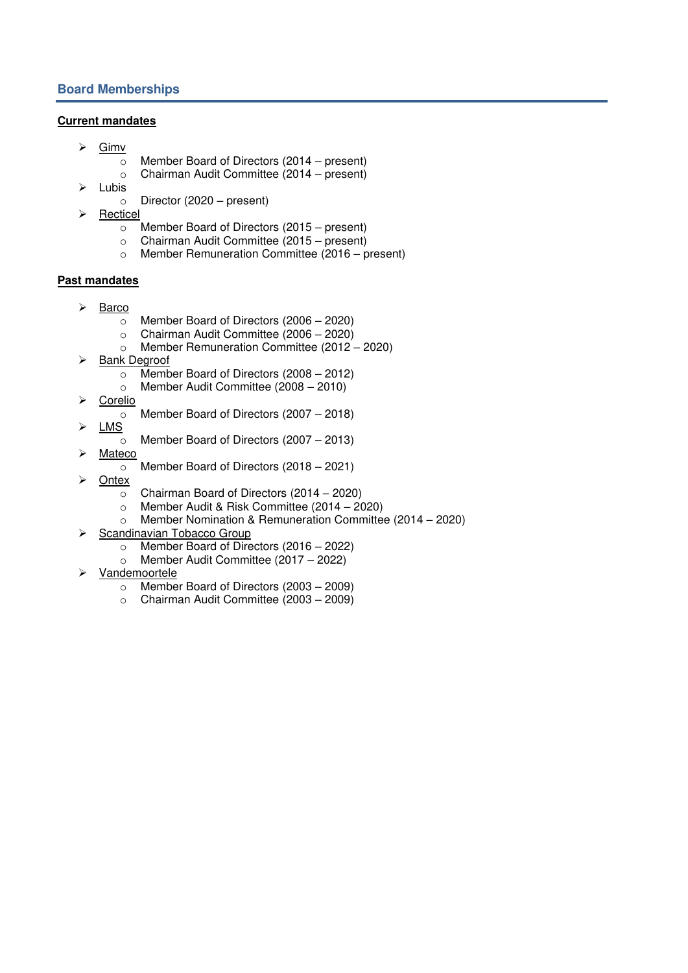## **Current mandates**

- ➢ Gimv
	- o Member Board of Directors (2014 present)
	- o Chairman Audit Committee (2014 present)
- ➢ Lubis
	- o Director (2020 present)
- ➢ Recticel
	- o Member Board of Directors (2015 present)
	- o Chairman Audit Committee (2015 present)
	- o Member Remuneration Committee (2016 present)

## **Past mandates**

- ➢ Barco
	- o Member Board of Directors (2006 2020)
	- o Chairman Audit Committee (2006 2020)
	- o Member Remuneration Committee (2012 2020)
- ➢ Bank Degroof
	- o Member Board of Directors (2008 2012)
	- o Member Audit Committee (2008 2010)
- ➢ Corelio
	- o Member Board of Directors (2007 2018)
- ➢ LMS
	- o Member Board of Directors (2007 2013)
- ➢ Mateco
	- o Member Board of Directors (2018 2021)
- ➢ Ontex
	- o Chairman Board of Directors (2014 2020)
	- o Member Audit & Risk Committee (2014 2020)
	- o Member Nomination & Remuneration Committee (2014 2020)
- ➢ Scandinavian Tobacco Group
	- o Member Board of Directors (2016 2022)
	- o Member Audit Committee (2017 2022)
- ➢ Vandemoortele
	- o Member Board of Directors (2003 2009)
	- o Chairman Audit Committee (2003 2009)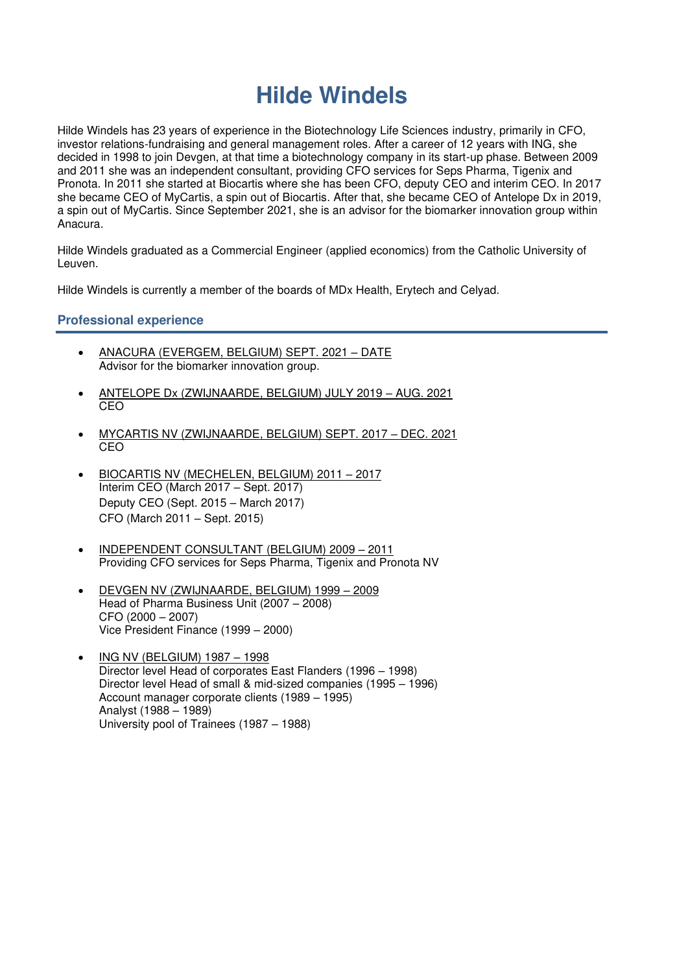## **Hilde Windels**

Hilde Windels has 23 years of experience in the Biotechnology Life Sciences industry, primarily in CFO, investor relations-fundraising and general management roles. After a career of 12 years with ING, she decided in 1998 to join Devgen, at that time a biotechnology company in its start-up phase. Between 2009 and 2011 she was an independent consultant, providing CFO services for Seps Pharma, Tigenix and Pronota. In 2011 she started at Biocartis where she has been CFO, deputy CEO and interim CEO. In 2017 she became CEO of MyCartis, a spin out of Biocartis. After that, she became CEO of Antelope Dx in 2019, a spin out of MyCartis. Since September 2021, she is an advisor for the biomarker innovation group within Anacura.

Hilde Windels graduated as a Commercial Engineer (applied economics) from the Catholic University of Leuven.

Hilde Windels is currently a member of the boards of MDx Health, Erytech and Celyad.

## **Professional experience**

- ANACURA (EVERGEM, BELGIUM) SEPT. 2021 DATE Advisor for the biomarker innovation group.
- ANTELOPE Dx (ZWIJNAARDE, BELGIUM) JULY 2019 AUG. 2021 CEO
- MYCARTIS NV (ZWIJNAARDE, BELGIUM) SEPT. 2017 DEC. 2021 CEO
- BIOCARTIS NV (MECHELEN, BELGIUM) 2011 2017 Interim CEO (March 2017 – Sept. 2017) Deputy CEO (Sept. 2015 – March 2017) CFO (March 2011 – Sept. 2015)
- INDEPENDENT CONSULTANT (BELGIUM) 2009 2011 Providing CFO services for Seps Pharma, Tigenix and Pronota NV
- DEVGEN NV (ZWIJNAARDE, BELGIUM) 1999 2009 Head of Pharma Business Unit (2007 – 2008) CFO (2000 – 2007) Vice President Finance (1999 – 2000)
- ING NV (BELGIUM) 1987 1998 Director level Head of corporates East Flanders (1996 – 1998) Director level Head of small & mid-sized companies (1995 – 1996) Account manager corporate clients (1989 – 1995) Analyst (1988 – 1989) University pool of Trainees (1987 – 1988)